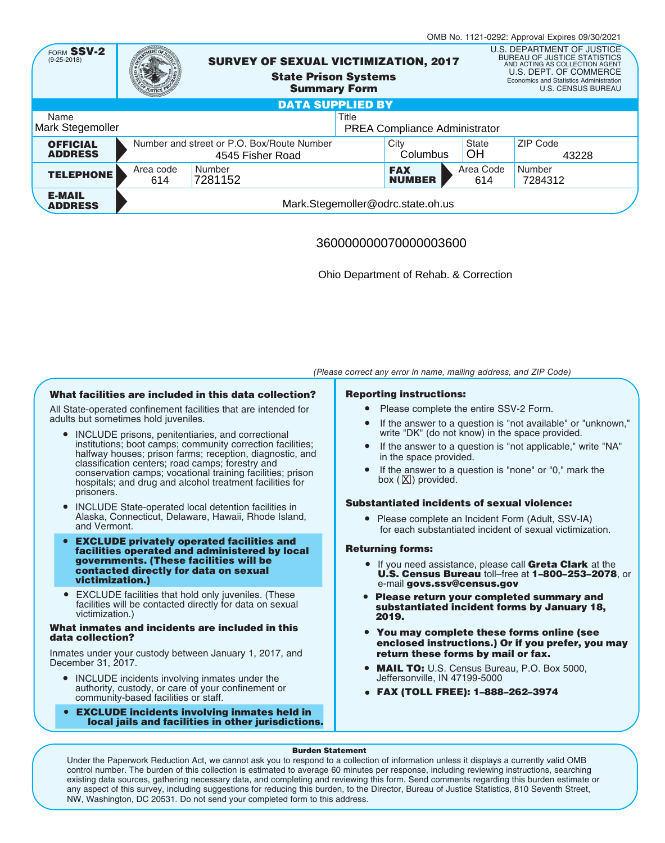|                                   |                                               |                   |                                                                                                   |  |                             |                  | OMB No. 1121-0292: Approval Expires 09/30/2021                                                                                                                                                        |
|-----------------------------------|-----------------------------------------------|-------------------|---------------------------------------------------------------------------------------------------|--|-----------------------------|------------------|-------------------------------------------------------------------------------------------------------------------------------------------------------------------------------------------------------|
| FORM SSV-2<br>$(9-25-2018)$       |                                               |                   | <b>SURVEY OF SEXUAL VICTIMIZATION, 2017</b><br><b>State Prison Systems</b><br><b>Summary Form</b> |  |                             |                  | U.S. DEPARTMENT OF JUSTICE<br><b>BUREAU OF JUSTICE STATISTICS</b><br>AND ACTING AS COLLECTION AGENT<br>U.S. DEPT. OF COMMERCE<br>Economics and Statistics Administration<br><b>U.S. CENSUS BUREAU</b> |
|                                   |                                               |                   | <b>DATA SUPPLIED BY</b>                                                                           |  |                             |                  |                                                                                                                                                                                                       |
| Name<br>Mark Stegemoller          | Title<br><b>PREA Compliance Administrator</b> |                   |                                                                                                   |  |                             |                  |                                                                                                                                                                                                       |
| <b>OFFICIAL</b><br><b>ADDRESS</b> |                                               |                   | Number and street or P.O. Box/Route Number<br>4545 Fisher Road                                    |  | City<br>Columbus            | State<br>ΟH      | ZIP Code<br>43228                                                                                                                                                                                     |
| <b>TELEPHONE</b>                  | Area code<br>614                              | Number<br>7281152 |                                                                                                   |  | <b>FAX</b><br><b>NUMBER</b> | Area Code<br>614 | Number<br>7284312                                                                                                                                                                                     |
| <b>E-MAIL</b><br><b>ADDRESS</b>   | Mark.Stegemoller@odrc.state.oh.us             |                   |                                                                                                   |  |                             |                  |                                                                                                                                                                                                       |

# 360000000070000003600

Ohio Department of Rehab. & Correction

## What facilities are included in this data collection?

All State-operated confinement facilities that are intended for adults but sometimes hold juveniles.

- INCLUDE prisons, penitentiaries, and correctional institutions; boot camps; community correction facilities; halfway houses; prison farms; reception, diagnostic, and classification centers; road camps; forestry and conservation camps; vocational training facilities; prison hospitals; and drug and alcohol treatment facilities for prisoners.
- INCLUDE State-operated local detention facilities in Alaska, Connecticut, Delaware, Hawaii, Rhode Island, and Vermont.
- EXCLUDE privately operated facilities and facilities operated and administered by local governments. (These facilities will be contacted directly for data on sexual victimization.)
- EXCLUDE facilities that hold only juveniles. (These facilities will be contacted directly for data on sexual victimization.)

### What inmates and incidents are included in this data collection?

Inmates under your custody between January 1, 2017, and December 31, 2017.

- INCLUDE incidents involving inmates under the authority, custody, or care of your confinement or community-based facilities or staff.
- EXCLUDE incidents involving inmates held in local jails and facilities in other jurisdictions.

## Reporting instructions:

● Please complete the entire SSV-2 Form.

(Please correct any error in name, mailing address, and ZIP Code)

- If the answer to a question is "not available" or "unknown," write "DK" (do not know) in the space provided.
- If the answer to a question is "not applicable," write "NA" in the space provided.
- If the answer to a question is "none" or "0," mark the box  $(\mathbf{X})$  provided.

## Substantiated incidents of sexual violence:

• Please complete an Incident Form (Adult, SSV-IA) for each substantiated incident of sexual victimization.

### Returning forms:

- **•** If you need assistance, please call Greta Clark at the U.S. Census Bureau toll–free at 1–800–253–2078, or e-mail govs.ssv@census.gov
- Please return your completed summary and substantiated incident forms by January 18, 2019.
- You may complete these forms online (see enclosed instructions.) Or if you prefer, you may return these forms by mail or fax.
- **MAIL TO:** U.S. Census Bureau, P.O. Box 5000. Jeffersonville, IN 47199-5000
- FAX (TOLL FREE): 1–888–262–3974 ●

### Burden Statement

Under the Paperwork Reduction Act, we cannot ask you to respond to a collection of information unless it displays a currently valid OMB control number. The burden of this collection is estimated to average 60 minutes per response, including reviewing instructions, searching existing data sources, gathering necessary data, and completing and reviewing this form. Send comments regarding this burden estimate or any aspect of this survey, including suggestions for reducing this burden, to the Director, Bureau of Justice Statistics, 810 Seventh Street, NW, Washington, DC 20531. Do not send your completed form to this address.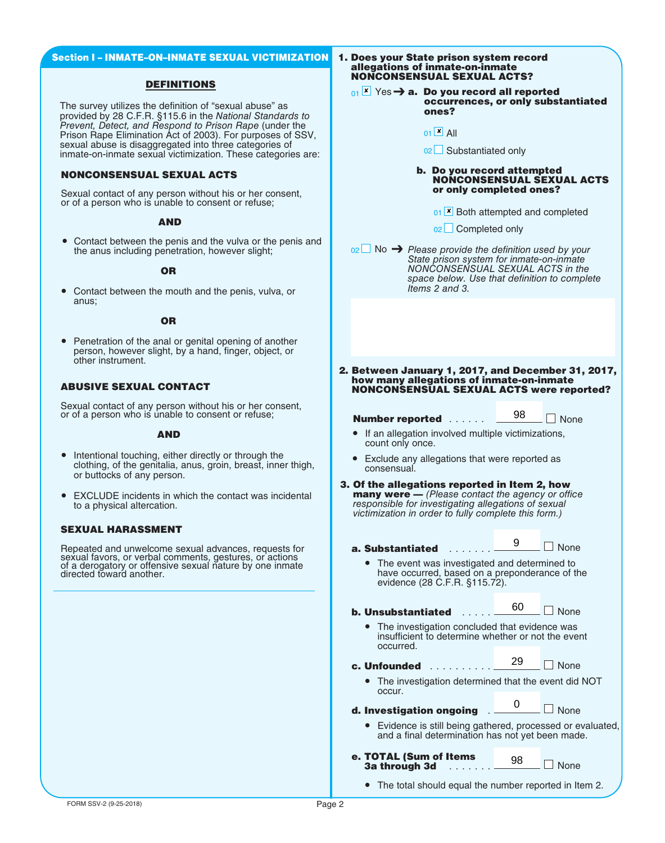## Section I – INMATE–ON–INMATE SEXUAL VICTIMIZATION

## DEFINITIONS

The survey utilizes the definition of "sexual abuse" as provided by 28 C.F.R. §115.6 in the National Standards to Prevent, Detect, and Respond to Prison Rape (under the Prison Rape Elimination Act of 2003). For purposes of SSV, sexual abuse is disaggregated into three categories of inmate-on-inmate sexual victimization. These categories are:

## NONCONSENSUAL SEXUAL ACTS

Sexual contact of any person without his or her consent, or of a person who is unable to consent or refuse;

## AND

● Contact between the penis and the vulva or the penis and the anus including penetration, however slight;

OR

● Contact between the mouth and the penis, vulva, or anus;

OR

● Penetration of the anal or genital opening of another person, however slight, by a hand, finger, object, or other instrument.

## ABUSIVE SEXUAL CONTACT

Sexual contact of any person without his or her consent, or of a person who is unable to consent or refuse;

### AND

- Intentional touching, either directly or through the clothing, of the genitalia, anus, groin, breast, inner thigh, or buttocks of any person.
- EXCLUDE incidents in which the contact was incidental to a physical altercation.

## SEXUAL HARASSMENT

Repeated and unwelcome sexual advances, requests for sexual favors, or verbal comments, gestures, or actions of a derogatory or offensive sexual nature by one inmate directed toward another.

#### 1. Does your State prison system record allegations of inmate-on-inmate NONCONSENSUAL SEXUAL ACTS?

### $_{01}$   $\overline{\mathbf{x}}$  Yes  $\rightarrow$  a. Do you record all reported occurrences, or only substantiated ones?

01 L<sup>x</sup> All

02∟ Substantiated only

#### b. Do you record attempted NONCONSENSUAL SEXUAL ACTS or only completed ones?

- o1 **<u>x</u>** Both attempted and completed
- Completed only 02

 $_{02}$  No  $\rightarrow$  Please provide the definition used by your State prison system for inmate-on-inmate NONCONSENSUAL SEXUAL ACTS in the space below. Use that definition to complete Items 2 and 3.

2. Between January 1, 2017, and December 31, 2017, how many allegations of inmate-on-inmate NONCONSENSUAL SEXUAL ACTS were reported?

**Number reported**  $\ldots \ldots \quad 98 \quad \Box$  None

- If an allegation involved multiple victimizations, count only once.
- Exclude any allegations that were reported as consensual.
- 3. Of the allegations reported in Item 2, how **many were**  $-$  (Please contact the agency or office responsible for investigating allegations of sexual victimization in order to fully complete this form.)  $\frac{98}{\text{ctr}}$  rep<br>**teiding**<br>agins<br>ath

9  $\Box$  None a. Substantiated

● The event was investigated and determined to have occurred, based on a preponderance of the evidence (28 C.F.R. §115.72).

b. Unsubstantiated .

The investigation concluded that evidence was insufficient to determine whether or not the event occurred. 60<br>at e<br>er c<br>29<br>at 0

c. Unfounded . . . . . . . . . .

● The investigation determined that the event did NOT occur.

d. Investigation ongoing .

● Evidence is still being gathered, processed or evaluated, and a final determination has not yet been made.

 $\Box$  None

□ None

 $\square$  None

60

29

0

e. TOTAL (Sum of Items 3a through 3d None 98

● The total should equal the number reported in Item 2.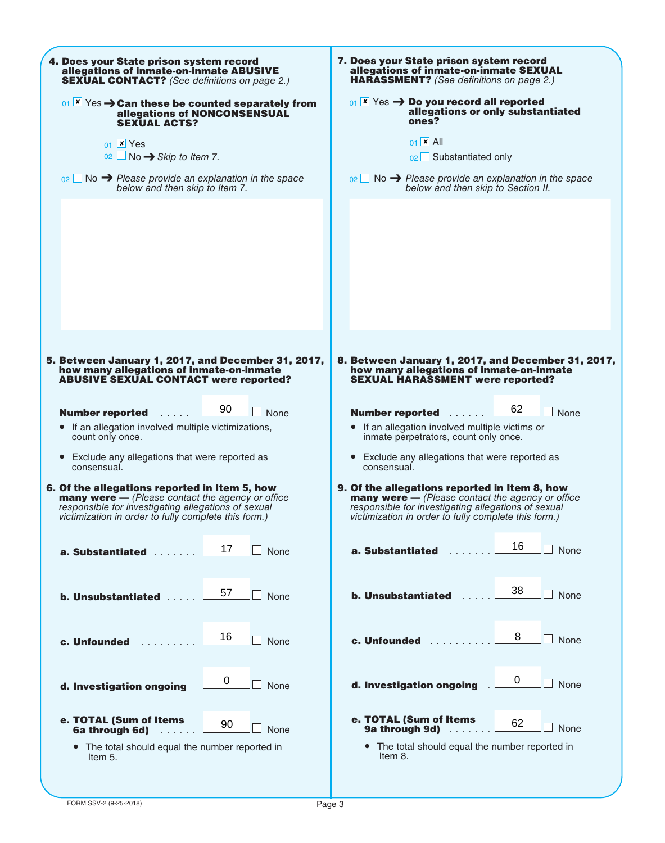| 4. Does your State prison system record                                                                                                                                                                                                                                                                                                                                                                                                                                                                                                                                      | 7. Does your State prison system record                                                                                                                                                                                                                                                                                                                                                                                                                                                                                                                                           |  |  |
|------------------------------------------------------------------------------------------------------------------------------------------------------------------------------------------------------------------------------------------------------------------------------------------------------------------------------------------------------------------------------------------------------------------------------------------------------------------------------------------------------------------------------------------------------------------------------|-----------------------------------------------------------------------------------------------------------------------------------------------------------------------------------------------------------------------------------------------------------------------------------------------------------------------------------------------------------------------------------------------------------------------------------------------------------------------------------------------------------------------------------------------------------------------------------|--|--|
| allegations of inmate-on-inmate ABUSIVE                                                                                                                                                                                                                                                                                                                                                                                                                                                                                                                                      | allegations of inmate-on-inmate SEXUAL                                                                                                                                                                                                                                                                                                                                                                                                                                                                                                                                            |  |  |
| <b>SEXUAL CONTACT?</b> (See definitions on page 2.)                                                                                                                                                                                                                                                                                                                                                                                                                                                                                                                          | <b>HARASSMENT?</b> (See definitions on page 2.)                                                                                                                                                                                                                                                                                                                                                                                                                                                                                                                                   |  |  |
| 01 $\mathbf{x}$ Yes $\rightarrow$ Can these be counted separately from                                                                                                                                                                                                                                                                                                                                                                                                                                                                                                       | $_{01}$ x Yes $\rightarrow$ Do you record all reported                                                                                                                                                                                                                                                                                                                                                                                                                                                                                                                            |  |  |
| allegations of NONCONSENSUAL                                                                                                                                                                                                                                                                                                                                                                                                                                                                                                                                                 | allegations or only substantiated                                                                                                                                                                                                                                                                                                                                                                                                                                                                                                                                                 |  |  |
| <b>SEXUAL ACTS?</b>                                                                                                                                                                                                                                                                                                                                                                                                                                                                                                                                                          | ones?                                                                                                                                                                                                                                                                                                                                                                                                                                                                                                                                                                             |  |  |
| $01 \times Y$ es                                                                                                                                                                                                                                                                                                                                                                                                                                                                                                                                                             | $01 \times$ All                                                                                                                                                                                                                                                                                                                                                                                                                                                                                                                                                                   |  |  |
| $02 \Box$ No $\rightarrow$ Skip to Item 7.                                                                                                                                                                                                                                                                                                                                                                                                                                                                                                                                   | 02 Substantiated only                                                                                                                                                                                                                                                                                                                                                                                                                                                                                                                                                             |  |  |
| $_{02}$ No $\rightarrow$ Please provide an explanation in the space                                                                                                                                                                                                                                                                                                                                                                                                                                                                                                          | $_{02}$ No $\rightarrow$ Please provide an explanation in the space                                                                                                                                                                                                                                                                                                                                                                                                                                                                                                               |  |  |
| below and then skip to Item 7.                                                                                                                                                                                                                                                                                                                                                                                                                                                                                                                                               | below and then skip to Section II.                                                                                                                                                                                                                                                                                                                                                                                                                                                                                                                                                |  |  |
| 5. Between January 1, 2017, and December 31, 2017,<br>how many allegations of inmate-on-inmate<br><b>ABUSIVE SEXUAL CONTACT were reported?</b><br>90<br><b>Number reported</b><br>None<br>• If an allegation involved multiple victimizations,<br>count only once.<br>Exclude any allegations that were reported as<br>$\bullet$<br>consensual.<br>6. Of the allegations reported in Item 5, how<br><b>many were</b> $-$ (Please contact the agency or office<br>responsible for investigating allegations of sexual<br>victimization in order to fully complete this form.) | 8. Between January 1, 2017, and December 31, 2017,<br>how many allegations of inmate-on-inmate<br><b>SEXUAL HARASSMENT were reported?</b><br>62<br>$\Box$ None<br><b>Number reported</b><br>• If an allegation involved multiple victims or<br>inmate perpetrators, count only once.<br>Exclude any allegations that were reported as<br>consensual.<br>9. Of the allegations reported in Item 8, how<br><b>many were</b> $-$ (Please contact the agency or office<br>responsible for investigating allegations of sexual<br>victimization in order to fully complete this form.) |  |  |
| 17                                                                                                                                                                                                                                                                                                                                                                                                                                                                                                                                                                           | 16                                                                                                                                                                                                                                                                                                                                                                                                                                                                                                                                                                                |  |  |
| None                                                                                                                                                                                                                                                                                                                                                                                                                                                                                                                                                                         | None                                                                                                                                                                                                                                                                                                                                                                                                                                                                                                                                                                              |  |  |
| a. Substantiated                                                                                                                                                                                                                                                                                                                                                                                                                                                                                                                                                             | a. Substantiated                                                                                                                                                                                                                                                                                                                                                                                                                                                                                                                                                                  |  |  |
| 57                                                                                                                                                                                                                                                                                                                                                                                                                                                                                                                                                                           | 38                                                                                                                                                                                                                                                                                                                                                                                                                                                                                                                                                                                |  |  |
| <b>b. Unsubstantiated </b>                                                                                                                                                                                                                                                                                                                                                                                                                                                                                                                                                   | $\Box$ None                                                                                                                                                                                                                                                                                                                                                                                                                                                                                                                                                                       |  |  |
| None                                                                                                                                                                                                                                                                                                                                                                                                                                                                                                                                                                         | <b>b. Unsubstantiated</b>                                                                                                                                                                                                                                                                                                                                                                                                                                                                                                                                                         |  |  |
| 16                                                                                                                                                                                                                                                                                                                                                                                                                                                                                                                                                                           | 8                                                                                                                                                                                                                                                                                                                                                                                                                                                                                                                                                                                 |  |  |
| <b>None</b>                                                                                                                                                                                                                                                                                                                                                                                                                                                                                                                                                                  | None                                                                                                                                                                                                                                                                                                                                                                                                                                                                                                                                                                              |  |  |
| c. Unfounded                                                                                                                                                                                                                                                                                                                                                                                                                                                                                                                                                                 | c. Unfounded                                                                                                                                                                                                                                                                                                                                                                                                                                                                                                                                                                      |  |  |
| 0                                                                                                                                                                                                                                                                                                                                                                                                                                                                                                                                                                            | 0                                                                                                                                                                                                                                                                                                                                                                                                                                                                                                                                                                                 |  |  |
| None                                                                                                                                                                                                                                                                                                                                                                                                                                                                                                                                                                         | $\Box$ None                                                                                                                                                                                                                                                                                                                                                                                                                                                                                                                                                                       |  |  |
| d. Investigation ongoing                                                                                                                                                                                                                                                                                                                                                                                                                                                                                                                                                     | d. Investigation ongoing                                                                                                                                                                                                                                                                                                                                                                                                                                                                                                                                                          |  |  |
| e. TOTAL (Sum of Items                                                                                                                                                                                                                                                                                                                                                                                                                                                                                                                                                       | e. TOTAL (Sum of Items                                                                                                                                                                                                                                                                                                                                                                                                                                                                                                                                                            |  |  |
| 90                                                                                                                                                                                                                                                                                                                                                                                                                                                                                                                                                                           | 62                                                                                                                                                                                                                                                                                                                                                                                                                                                                                                                                                                                |  |  |
| None                                                                                                                                                                                                                                                                                                                                                                                                                                                                                                                                                                         | $\Box$ None                                                                                                                                                                                                                                                                                                                                                                                                                                                                                                                                                                       |  |  |
| 6a through 6d)                                                                                                                                                                                                                                                                                                                                                                                                                                                                                                                                                               | <b>9a through 9d)</b>                                                                                                                                                                                                                                                                                                                                                                                                                                                                                                                                                             |  |  |
| • The total should equal the number reported in                                                                                                                                                                                                                                                                                                                                                                                                                                                                                                                              | • The total should equal the number reported in                                                                                                                                                                                                                                                                                                                                                                                                                                                                                                                                   |  |  |
| Item 5.                                                                                                                                                                                                                                                                                                                                                                                                                                                                                                                                                                      | Item 8.                                                                                                                                                                                                                                                                                                                                                                                                                                                                                                                                                                           |  |  |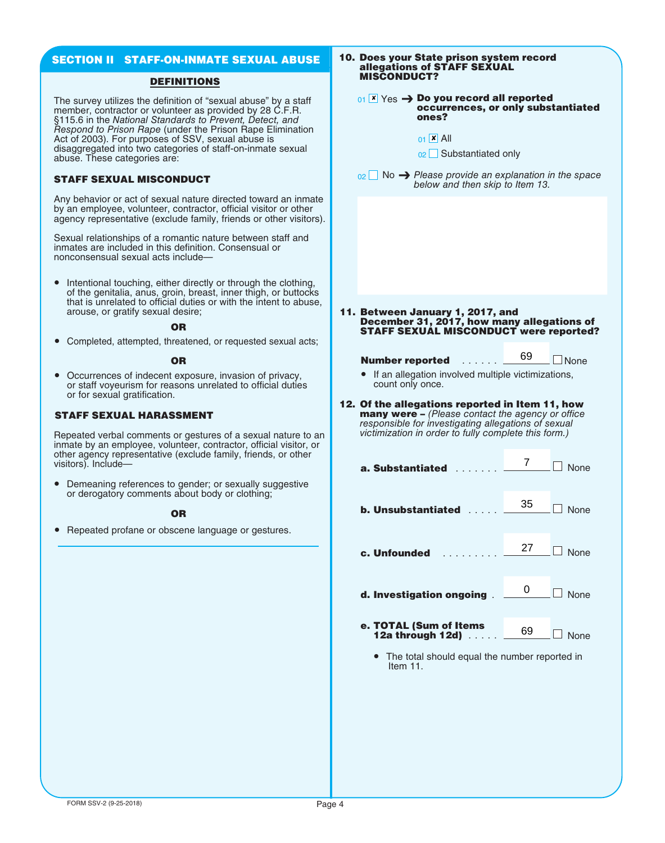## SECTION II STAFF-ON-INMATE SEXUAL ABUSE

## DEFINITIONS

The survey utilizes the definition of "sexual abuse" by a staff member, contractor or volunteer as provided by 28 C.F.R. §115.6 in the National Standards to Prevent, Detect, and Respond to Prison Rape (under the Prison Rape Elimination Act of 2003). For purposes of SSV, sexual abuse is disaggregated into two categories of staff-on-inmate sexual abuse. These categories are:

## STAFF SEXUAL MISCONDUCT

Any behavior or act of sexual nature directed toward an inmate by an employee, volunteer, contractor, official visitor or other agency representative (exclude family, friends or other visitors).

Sexual relationships of a romantic nature between staff and inmates are included in this definition. Consensual or nonconsensual sexual acts include—

● Intentional touching, either directly or through the clothing, of the genitalia, anus, groin, breast, inner thigh, or buttocks that is unrelated to official duties or with the intent to abuse, arouse, or gratify sexual desire;

### OR

● Completed, attempted, threatened, or requested sexual acts;

### OR

Occurrences of indecent exposure, invasion of privacy, or staff voyeurism for reasons unrelated to official duties or for sexual gratification.

## STAFF SEXUAL HARASSMENT

Repeated verbal comments or gestures of a sexual nature to an inmate by an employee, volunteer, contractor, official visitor, or other agency representative (exclude family, friends, or other visitors). Include—

Demeaning references to gender; or sexually suggestive or derogatory comments about body or clothing;

### OR

● Repeated profane or obscene language or gestures.

#### 10. Does your State prison system record allegations of STAFF SEXUAL MISCONDUCT?

#### 01 <mark>X</mark> Yes → Do you record all reported occurrences, or only substantiated ones?

| ∙ X r | ı |
|-------|---|
|       |   |

 $_{02}\bigsqcup$  Substantiated only

 $_{02}$  No  $\rightarrow$  Please provide an explanation in the space below and then skip to Item 13.

11. Between January 1, 2017, and December 31, 2017, how many allegations of STAFF SEXUAL MISCONDUCT were reported?

## **Number reported**  $\ldots \ldots \stackrel{69}{\ldots} \square$  None

- If an allegation involved multiple victimizations, count only once.
- 12. Of the allegations reported in Item 11, how many were - (Please contact the agency or office responsible for investigating allegations of sexual victimization in order to fully complete this form.) 69<br>ctir<br>terge<br>*ns*<br>?<br>?



● The total should equal the number reported in Item 11.